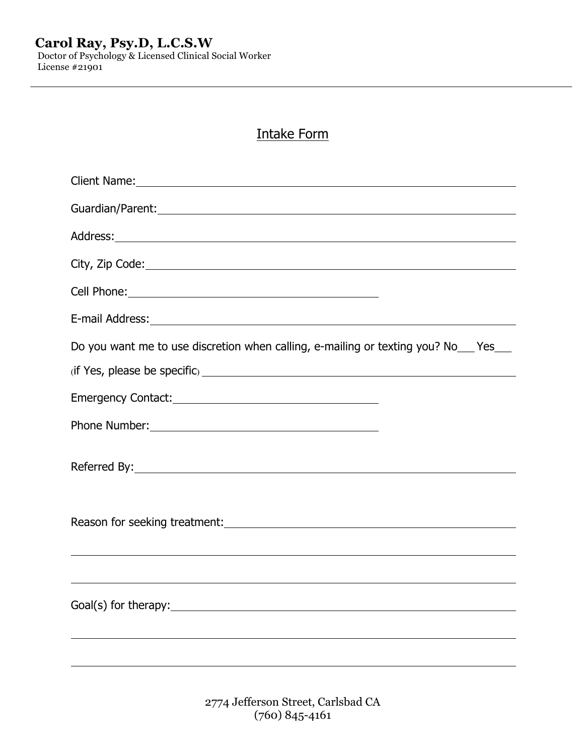Doctor of Psychology & Licensed Clinical Social Worker License #21901

# Intake Form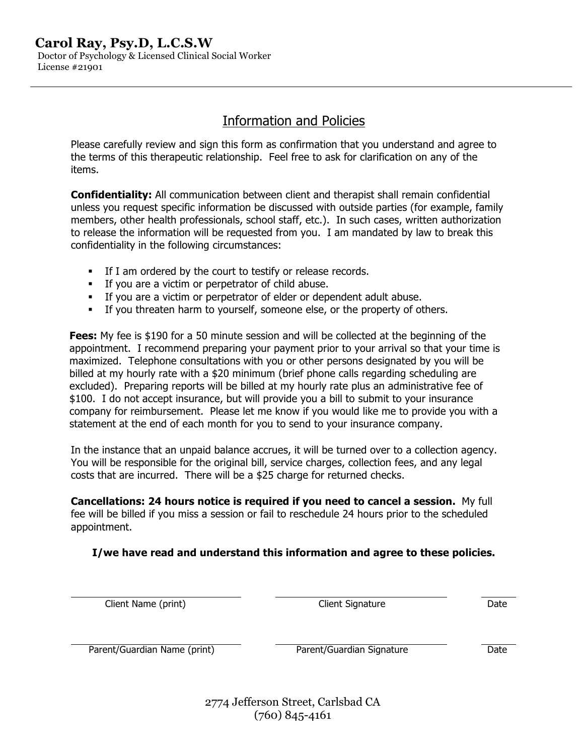Doctor of Psychology & Licensed Clinical Social Worker License #21901

# Information and Policies

Please carefully review and sign this form as confirmation that you understand and agree to the terms of this therapeutic relationship. Feel free to ask for clarification on any of the items.

**Confidentiality:** All communication between client and therapist shall remain confidential unless you request specific information be discussed with outside parties (for example, family members, other health professionals, school staff, etc.). In such cases, written authorization to release the information will be requested from you. I am mandated by law to break this confidentiality in the following circumstances:

- **•** If I am ordered by the court to testify or release records.
- § If you are a victim or perpetrator of child abuse.
- § If you are a victim or perpetrator of elder or dependent adult abuse.
- **•** If you threaten harm to yourself, someone else, or the property of others.

**Fees:** My fee is \$190 for a 50 minute session and will be collected at the beginning of the appointment. I recommend preparing your payment prior to your arrival so that your time is maximized. Telephone consultations with you or other persons designated by you will be billed at my hourly rate with a \$20 minimum (brief phone calls regarding scheduling are excluded). Preparing reports will be billed at my hourly rate plus an administrative fee of \$100. I do not accept insurance, but will provide you a bill to submit to your insurance company for reimbursement. Please let me know if you would like me to provide you with a statement at the end of each month for you to send to your insurance company.

In the instance that an unpaid balance accrues, it will be turned over to a collection agency. You will be responsible for the original bill, service charges, collection fees, and any legal costs that are incurred. There will be a \$25 charge for returned checks.

**Cancellations: 24 hours notice is required if you need to cancel a session.** My full fee will be billed if you miss a session or fail to reschedule 24 hours prior to the scheduled appointment.

## **I/we have read and understand this information and agree to these policies.**

Client Name (print) Client Signature Date

Parent/Guardian Name (print) The Parent/Guardian Signature That Date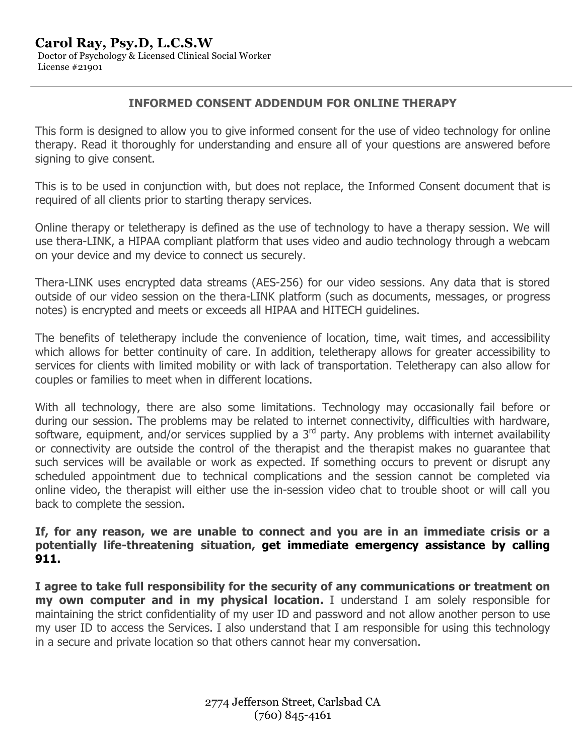Doctor of Psychology & Licensed Clinical Social Worker License #21901

## **INFORMED CONSENT ADDENDUM FOR ONLINE THERAPY**

This form is designed to allow you to give informed consent for the use of video technology for online therapy. Read it thoroughly for understanding and ensure all of your questions are answered before signing to give consent.

This is to be used in conjunction with, but does not replace, the Informed Consent document that is required of all clients prior to starting therapy services.

Online therapy or teletherapy is defined as the use of technology to have a therapy session. We will use thera-LINK, a HIPAA compliant platform that uses video and audio technology through a webcam on your device and my device to connect us securely.

Thera-LINK uses encrypted data streams (AES-256) for our video sessions. Any data that is stored outside of our video session on the thera-LINK platform (such as documents, messages, or progress notes) is encrypted and meets or exceeds all HIPAA and HITECH guidelines.

The benefits of teletherapy include the convenience of location, time, wait times, and accessibility which allows for better continuity of care. In addition, teletherapy allows for greater accessibility to services for clients with limited mobility or with lack of transportation. Teletherapy can also allow for couples or families to meet when in different locations.

With all technology, there are also some limitations. Technology may occasionally fail before or during our session. The problems may be related to internet connectivity, difficulties with hardware, software, equipment, and/or services supplied by a 3<sup>rd</sup> party. Any problems with internet availability or connectivity are outside the control of the therapist and the therapist makes no guarantee that such services will be available or work as expected. If something occurs to prevent or disrupt any scheduled appointment due to technical complications and the session cannot be completed via online video, the therapist will either use the in-session video chat to trouble shoot or will call you back to complete the session.

**If, for any reason, we are unable to connect and you are in an immediate crisis or a potentially life-threatening situation, get immediate emergency assistance by calling 911.**

**I agree to take full responsibility for the security of any communications or treatment on my own computer and in my physical location.** I understand I am solely responsible for maintaining the strict confidentiality of my user ID and password and not allow another person to use my user ID to access the Services. I also understand that I am responsible for using this technology in a secure and private location so that others cannot hear my conversation.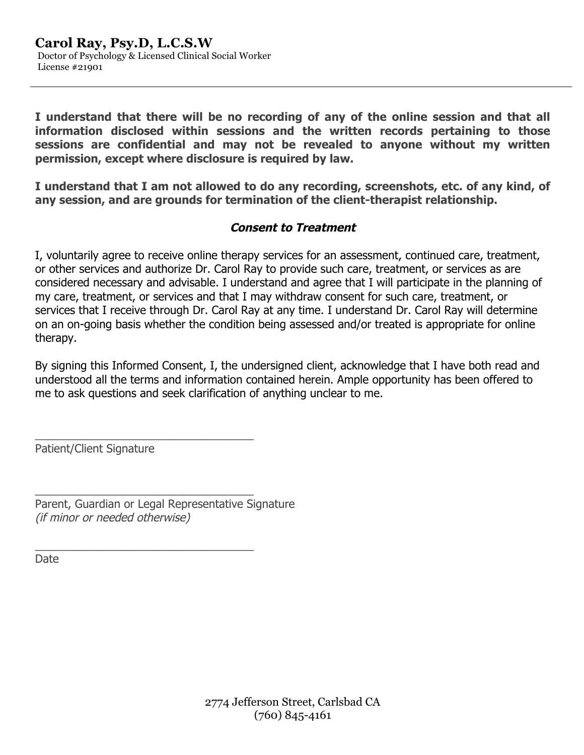**I understand that there will be no recording of any of the online session and that all information disclosed within sessions and the written records pertaining to those sessions are confidential and may not be revealed to anyone without my written permission, except where disclosure is required by law.**

**I understand that I am not allowed to do any recording, screenshots, etc. of any kind, of any session, and are grounds for termination of the client-therapist relationship.**

## **Consent to Treatment**

I, voluntarily agree to receive online therapy services for an assessment, continued care, treatment, or other services and authorize Dr. Carol Ray to provide such care, treatment, or services as are considered necessary and advisable. I understand and agree that I will participate in the planning of my care, treatment, or services and that I may withdraw consent for such care, treatment, or services that I receive through Dr. Carol Ray at any time. I understand Dr. Carol Ray will determine on an on-going basis whether the condition being assessed and/or treated is appropriate for online therapy.

By signing this Informed Consent, I, the undersigned client, acknowledge that I have both read and understood all the terms and information contained herein. Ample opportunity has been offered to me to ask questions and seek clarification of anything unclear to me.

Patient/Client Signature

Parent, Guardian or Legal Representative Signature (if minor or needed otherwise)

\_\_\_\_\_\_\_\_\_\_\_\_\_\_\_\_\_\_\_\_\_\_\_\_\_\_\_\_\_\_\_\_\_\_\_

\_\_\_\_\_\_\_\_\_\_\_\_\_\_\_\_\_\_\_\_\_\_\_\_\_\_\_\_\_\_\_\_\_\_\_

\_\_\_\_\_\_\_\_\_\_\_\_\_\_\_\_\_\_\_\_\_\_\_\_\_\_\_\_\_\_\_\_\_\_\_

Date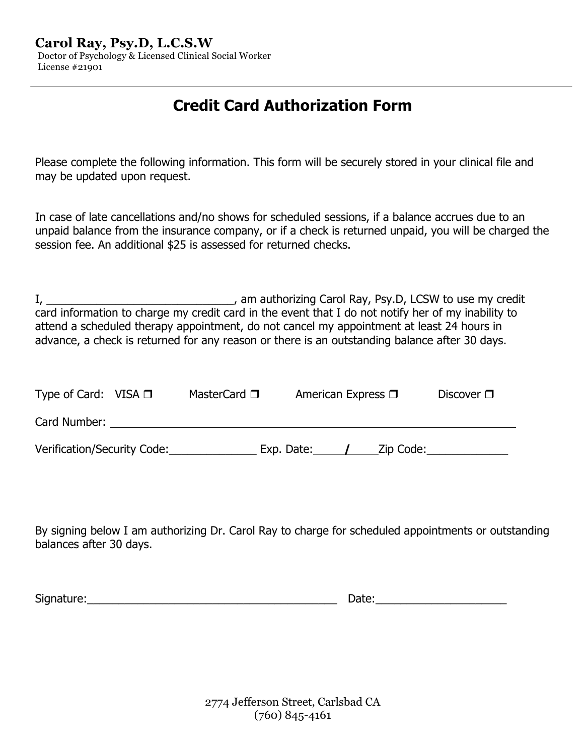Doctor of Psychology & Licensed Clinical Social Worker License #21901

# **Credit Card Authorization Form**

Please complete the following information. This form will be securely stored in your clinical file and may be updated upon request.

In case of late cancellations and/no shows for scheduled sessions, if a balance accrues due to an unpaid balance from the insurance company, or if a check is returned unpaid, you will be charged the session fee. An additional \$25 is assessed for returned checks.

I, \_\_\_\_\_\_\_\_\_\_\_\_\_\_\_\_\_\_\_\_\_\_\_\_\_\_\_\_\_\_\_\_\_\_, am authorizing Carol Ray, Psy.D, LCSW to use my credit card information to charge my credit card in the event that I do not notify her of my inability to attend a scheduled therapy appointment, do not cancel my appointment at least 24 hours in advance, a check is returned for any reason or there is an outstanding balance after 30 days.

| Type of Card: VISA $\Box$   | MasterCard $\square$ |            | American Express $\square$ | Discover $\square$ |
|-----------------------------|----------------------|------------|----------------------------|--------------------|
| Card Number:                |                      |            |                            |                    |
| Verification/Security Code: |                      | Exp. Date: | Zip Code:                  |                    |

By signing below I am authorizing Dr. Carol Ray to charge for scheduled appointments or outstanding balances after 30 days.

Signature:\_\_\_\_\_\_\_\_\_\_\_\_\_\_\_\_\_\_\_\_\_\_\_\_\_\_\_\_\_\_\_\_\_\_\_\_\_\_\_\_ Date:\_\_\_\_\_\_\_\_\_\_\_\_\_\_\_\_\_\_\_\_\_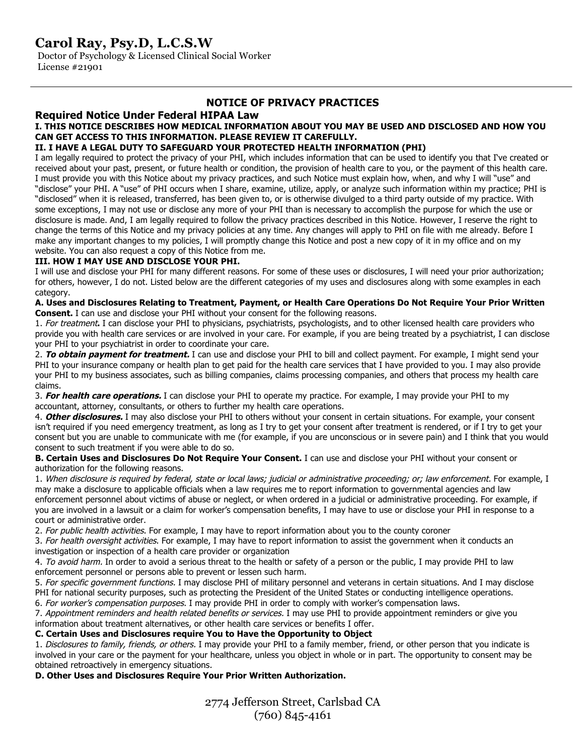Doctor of Psychology & Licensed Clinical Social Worker License #21901

### **NOTICE OF PRIVACY PRACTICES**

### **Required Notice Under Federal HIPAA Law I. THIS NOTICE DESCRIBES HOW MEDICAL INFORMATION ABOUT YOU MAY BE USED AND DISCLOSED AND HOW YOU**

# **CAN GET ACCESS TO THIS INFORMATION. PLEASE REVIEW IT CAREFULLY.**

### **II. I HAVE A LEGAL DUTY TO SAFEGUARD YOUR PROTECTED HEALTH INFORMATION (PHI)**

I am legally required to protect the privacy of your PHI, which includes information that can be used to identify you that I've created or received about your past, present, or future health or condition, the provision of health care to you, or the payment of this health care. I must provide you with this Notice about my privacy practices, and such Notice must explain how, when, and why I will "use" and "disclose" your PHI. A "use" of PHI occurs when I share, examine, utilize, apply, or analyze such information within my practice; PHI is "disclosed" when it is released, transferred, has been given to, or is otherwise divulged to a third party outside of my practice. With some exceptions, I may not use or disclose any more of your PHI than is necessary to accomplish the purpose for which the use or disclosure is made. And, I am legally required to follow the privacy practices described in this Notice. However, I reserve the right to change the terms of this Notice and my privacy policies at any time. Any changes will apply to PHI on file with me already. Before I make any important changes to my policies, I will promptly change this Notice and post a new copy of it in my office and on my website. You can also request a copy of this Notice from me.

### **III. HOW I MAY USE AND DISCLOSE YOUR PHI.**

I will use and disclose your PHI for many different reasons. For some of these uses or disclosures, I will need your prior authorization; for others, however, I do not. Listed below are the different categories of my uses and disclosures along with some examples in each category.

**A. Uses and Disclosures Relating to Treatment, Payment, or Health Care Operations Do Not Require Your Prior Written Consent.** I can use and disclose your PHI without your consent for the following reasons.

1. For treatment**.** I can disclose your PHI to physicians, psychiatrists, psychologists, and to other licensed health care providers who provide you with health care services or are involved in your care. For example, if you are being treated by a psychiatrist, I can disclose your PHI to your psychiatrist in order to coordinate your care.

2. **To obtain payment for treatment.** I can use and disclose your PHI to bill and collect payment. For example, I might send your PHI to your insurance company or health plan to get paid for the health care services that I have provided to you. I may also provide your PHI to my business associates, such as billing companies, claims processing companies, and others that process my health care claims.

3. **For health care operations.** I can disclose your PHI to operate my practice. For example, I may provide your PHI to my accountant, attorney, consultants, or others to further my health care operations.

4. **Other disclosures.** I may also disclose your PHI to others without your consent in certain situations. For example, your consent isn't required if you need emergency treatment, as long as I try to get your consent after treatment is rendered, or if I try to get your consent but you are unable to communicate with me (for example, if you are unconscious or in severe pain) and I think that you would consent to such treatment if you were able to do so.

**B. Certain Uses and Disclosures Do Not Require Your Consent.** I can use and disclose your PHI without your consent or authorization for the following reasons.

1. When disclosure is required by federal, state or local laws; judicial or administrative proceeding; or; law enforcement. For example, I may make a disclosure to applicable officials when a law requires me to report information to governmental agencies and law enforcement personnel about victims of abuse or neglect, or when ordered in a judicial or administrative proceeding. For example, if you are involved in a lawsuit or a claim for worker's compensation benefits, I may have to use or disclose your PHI in response to a court or administrative order.

2. For public health activities. For example, I may have to report information about you to the county coroner

3. For health oversight activities. For example, I may have to report information to assist the government when it conducts an investigation or inspection of a health care provider or organization

4. To avoid harm. In order to avoid a serious threat to the health or safety of a person or the public, I may provide PHI to law enforcement personnel or persons able to prevent or lessen such harm.

5. For specific government functions. I may disclose PHI of military personnel and veterans in certain situations. And I may disclose PHI for national security purposes, such as protecting the President of the United States or conducting intelligence operations.

6. For worker's compensation purposes. I may provide PHI in order to comply with worker's compensation laws.

7. Appointment reminders and health related benefits or services. I may use PHI to provide appointment reminders or give you information about treatment alternatives, or other health care services or benefits I offer.

**C. Certain Uses and Disclosures require You to Have the Opportunity to Object**

1. Disclosures to family, friends, or others. I may provide your PHI to a family member, friend, or other person that you indicate is involved in your care or the payment for your healthcare, unless you object in whole or in part. The opportunity to consent may be obtained retroactively in emergency situations.

## **D. Other Uses and Disclosures Require Your Prior Written Authorization.**

2774 Jefferson Street, Carlsbad CA (760) 845-4161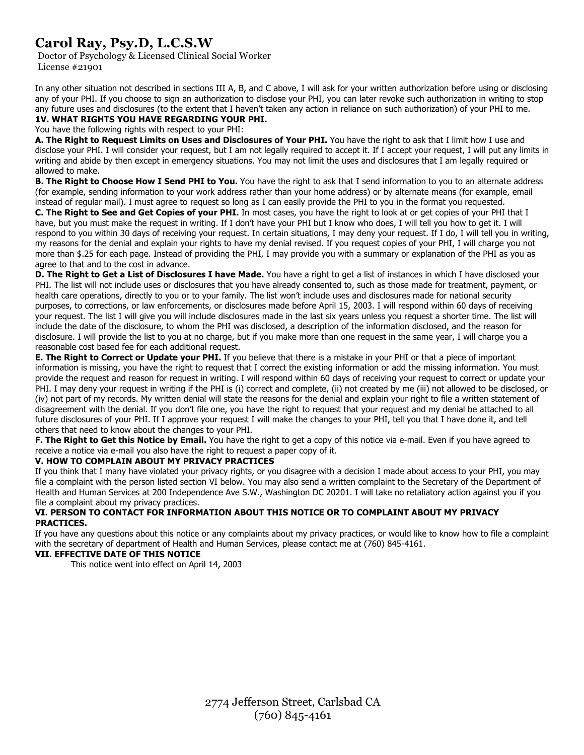Doctor of Psychology & Licensed Clinical Social Worker License #21901

In any other situation not described in sections III A, B, and C above, I will ask for your written authorization before using or disclosing any of your PHI. If you choose to sign an authorization to disclose your PHI, you can later revoke such authorization in writing to stop any future uses and disclosures (to the extent that I haven't taken any action in reliance on such authorization) of your PHI to me.

#### **1V. WHAT RIGHTS YOU HAVE REGARDING YOUR PHI.**

You have the following rights with respect to your PHI:

**A. The Right to Request Limits on Uses and Disclosures of Your PHI.** You have the right to ask that I limit how I use and disclose your PHI. I will consider your request, but I am not legally required to accept it. If I accept your request, I will put any limits in writing and abide by then except in emergency situations. You may not limit the uses and disclosures that I am legally required or allowed to make.

**B. The Right to Choose How I Send PHI to You.** You have the right to ask that I send information to you to an alternate address (for example, sending information to your work address rather than your home address) or by alternate means (for example, email instead of regular mail). I must agree to request so long as I can easily provide the PHI to you in the format you requested.

**C. The Right to See and Get Copies of your PHI.** In most cases, you have the right to look at or get copies of your PHI that I have, but you must make the request in writing. If I don't have your PHI but I know who does, I will tell you how to get it. I will respond to you within 30 days of receiving your request. In certain situations, I may deny your request. If I do, I will tell you in writing, my reasons for the denial and explain your rights to have my denial revised. If you request copies of your PHI, I will charge you not more than \$.25 for each page. Instead of providing the PHI, I may provide you with a summary or explanation of the PHI as you as agree to that and to the cost in advance.

**D. The Right to Get a List of Disclosures I have Made.** You have a right to get a list of instances in which I have disclosed your PHI. The list will not include uses or disclosures that you have already consented to, such as those made for treatment, payment, or health care operations, directly to you or to your family. The list won't include uses and disclosures made for national security purposes, to corrections, or law enforcements, or disclosures made before April 15, 2003. I will respond within 60 days of receiving your request. The list I will give you will include disclosures made in the last six years unless you request a shorter time. The list will include the date of the disclosure, to whom the PHI was disclosed, a description of the information disclosed, and the reason for disclosure. I will provide the list to you at no charge, but if you make more than one request in the same year, I will charge you a reasonable cost based fee for each additional request.

**E. The Right to Correct or Update your PHI.** If you believe that there is a mistake in your PHI or that a piece of important information is missing, you have the right to request that I correct the existing information or add the missing information. You must provide the request and reason for request in writing. I will respond within 60 days of receiving your request to correct or update your PHI. I may deny your request in writing if the PHI is (i) correct and complete, (ii) not created by me (iii) not allowed to be disclosed, or (iv) not part of my records. My written denial will state the reasons for the denial and explain your right to file a written statement of disagreement with the denial. If you don't file one, you have the right to request that your request and my denial be attached to all future disclosures of your PHI. If I approve your request I will make the changes to your PHI, tell you that I have done it, and tell others that need to know about the changes to your PHI.

**F. The Right to Get this Notice by Email.** You have the right to get a copy of this notice via e-mail. Even if you have agreed to receive a notice via e-mail you also have the right to request a paper copy of it.

### **V. HOW TO COMPLAIN ABOUT MY PRIVACY PRACTICES**

If you think that I many have violated your privacy rights, or you disagree with a decision I made about access to your PHI, you may file a complaint with the person listed section VI below. You may also send a written complaint to the Secretary of the Department of Health and Human Services at 200 Independence Ave S.W., Washington DC 20201. I will take no retaliatory action against you if you file a complaint about my privacy practices.

### **VI. PERSON TO CONTACT FOR INFORMATION ABOUT THIS NOTICE OR TO COMPLAINT ABOUT MY PRIVACY PRACTICES.**

If you have any questions about this notice or any complaints about my privacy practices, or would like to know how to file a complaint with the secretary of department of Health and Human Services, please contact me at (760) 845-4161.

### **VII. EFFECTIVE DATE OF THIS NOTICE**

This notice went into effect on April 14, 2003